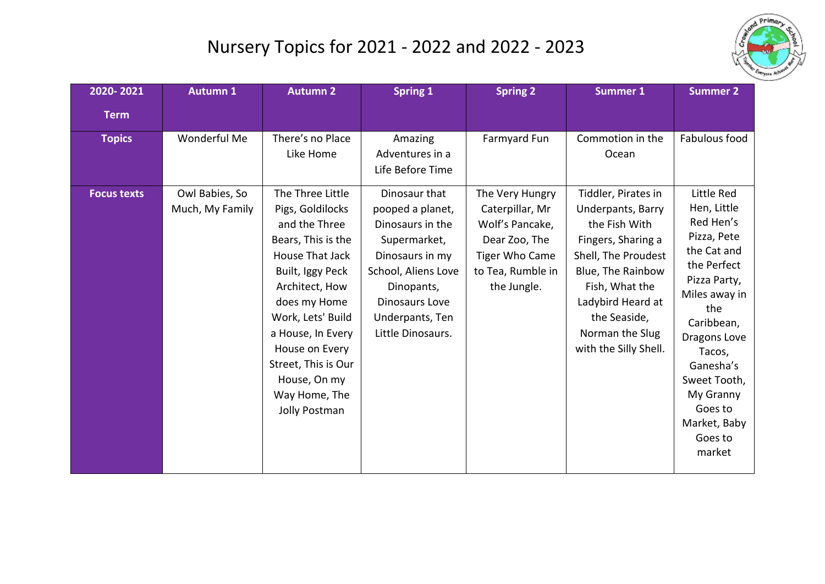## Nursery Topics for 2021 - 2022 and 2022 - 2023



| 2020-2021                           | <b>Autumn 1</b>                | <b>Autumn 2</b>                                                                                                                                                                                                                                                       | <b>Spring 1</b>                                                                                                                                                        | <b>Spring 2</b>                                                                                                  | <b>Summer 1</b>                                                                                                                                                                                         | <b>Summer 2</b>                                                                                                                                                                                                                                 |
|-------------------------------------|--------------------------------|-----------------------------------------------------------------------------------------------------------------------------------------------------------------------------------------------------------------------------------------------------------------------|------------------------------------------------------------------------------------------------------------------------------------------------------------------------|------------------------------------------------------------------------------------------------------------------|---------------------------------------------------------------------------------------------------------------------------------------------------------------------------------------------------------|-------------------------------------------------------------------------------------------------------------------------------------------------------------------------------------------------------------------------------------------------|
| <b>Term</b>                         |                                |                                                                                                                                                                                                                                                                       |                                                                                                                                                                        |                                                                                                                  |                                                                                                                                                                                                         |                                                                                                                                                                                                                                                 |
| <b>Topics</b><br><b>Focus texts</b> | Wonderful Me<br>Owl Babies, So | There's no Place<br>Like Home<br>The Three Little                                                                                                                                                                                                                     | Amazing<br>Adventures in a<br>Life Before Time<br>Dinosaur that                                                                                                        | Farmyard Fun<br>The Very Hungry                                                                                  | Commotion in the<br>Ocean<br>Tiddler, Pirates in                                                                                                                                                        | Fabulous food<br>Little Red                                                                                                                                                                                                                     |
|                                     | Much, My Family                | Pigs, Goldilocks<br>and the Three<br>Bears, This is the<br>House That Jack<br>Built, Iggy Peck<br>Architect, How<br>does my Home<br>Work, Lets' Build<br>a House, In Every<br>House on Every<br>Street, This is Our<br>House, On my<br>Way Home, The<br>Jolly Postman | pooped a planet,<br>Dinosaurs in the<br>Supermarket,<br>Dinosaurs in my<br>School, Aliens Love<br>Dinopants,<br>Dinosaurs Love<br>Underpants, Ten<br>Little Dinosaurs. | Caterpillar, Mr<br>Wolf's Pancake,<br>Dear Zoo, The<br><b>Tiger Who Came</b><br>to Tea, Rumble in<br>the Jungle. | Underpants, Barry<br>the Fish With<br>Fingers, Sharing a<br>Shell, The Proudest<br>Blue, The Rainbow<br>Fish, What the<br>Ladybird Heard at<br>the Seaside,<br>Norman the Slug<br>with the Silly Shell. | Hen, Little<br>Red Hen's<br>Pizza, Pete<br>the Cat and<br>the Perfect<br>Pizza Party,<br>Miles away in<br>the<br>Caribbean,<br>Dragons Love<br>Tacos,<br>Ganesha's<br>Sweet Tooth,<br>My Granny<br>Goes to<br>Market, Baby<br>Goes to<br>market |